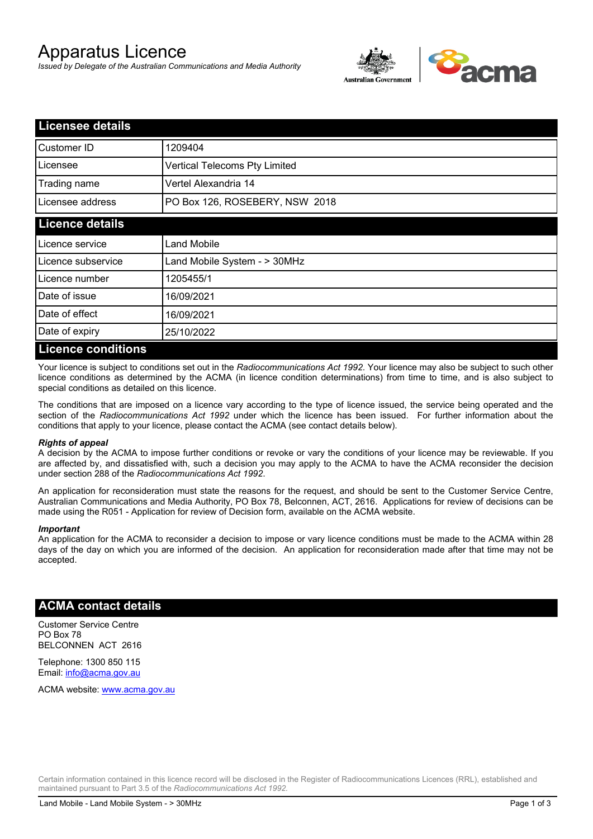# Apparatus Licence

*Issued by Delegate of the Australian Communications and Media Authority*



| Licensee details          |                                |  |
|---------------------------|--------------------------------|--|
| Customer ID               | 1209404                        |  |
| Licensee                  | Vertical Telecoms Pty Limited  |  |
| Trading name              | Vertel Alexandria 14           |  |
| Licensee address          | PO Box 126, ROSEBERY, NSW 2018 |  |
| <b>Licence details</b>    |                                |  |
| Licence service           | Land Mobile                    |  |
| Licence subservice        | Land Mobile System - > 30MHz   |  |
| Licence number            | 1205455/1                      |  |
| Date of issue             | 16/09/2021                     |  |
| Date of effect            | 16/09/2021                     |  |
| Date of expiry            | 25/10/2022                     |  |
| <b>Licence conditions</b> |                                |  |

Your licence is subject to conditions set out in the *Radiocommunications Act 1992*. Your licence may also be subject to such other licence conditions as determined by the ACMA (in licence condition determinations) from time to time, and is also subject to special conditions as detailed on this licence.

The conditions that are imposed on a licence vary according to the type of licence issued, the service being operated and the section of the *Radiocommunications Act 1992* under which the licence has been issued. For further information about the conditions that apply to your licence, please contact the ACMA (see contact details below).

#### *Rights of appeal*

A decision by the ACMA to impose further conditions or revoke or vary the conditions of your licence may be reviewable. If you are affected by, and dissatisfied with, such a decision you may apply to the ACMA to have the ACMA reconsider the decision under section 288 of the *Radiocommunications Act 1992*.

An application for reconsideration must state the reasons for the request, and should be sent to the Customer Service Centre, Australian Communications and Media Authority, PO Box 78, Belconnen, ACT, 2616. Applications for review of decisions can be made using the R051 - Application for review of Decision form, available on the ACMA website.

#### *Important*

An application for the ACMA to reconsider a decision to impose or vary licence conditions must be made to the ACMA within 28 days of the day on which you are informed of the decision. An application for reconsideration made after that time may not be accepted.

### **ACMA contact details**

Customer Service Centre PO Box 78 BELCONNEN ACT 2616

Telephone: 1300 850 115 Email: info@acma.gov.au

ACMA website: www.acma.gov.au

Certain information contained in this licence record will be disclosed in the Register of Radiocommunications Licences (RRL), established and maintained pursuant to Part 3.5 of the *Radiocommunications Act 1992.*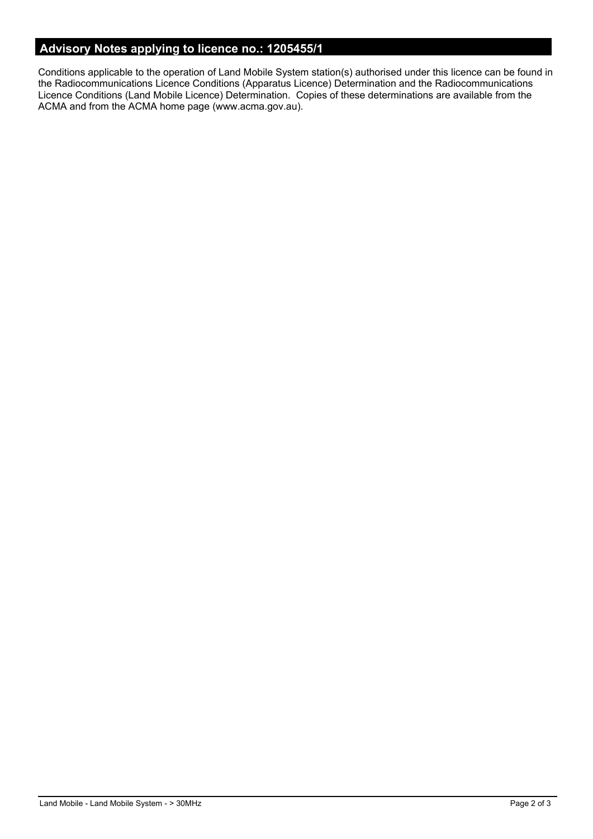# **Advisory Notes applying to licence no.: 1205455/1**

Conditions applicable to the operation of Land Mobile System station(s) authorised under this licence can be found in the Radiocommunications Licence Conditions (Apparatus Licence) Determination and the Radiocommunications Licence Conditions (Land Mobile Licence) Determination. Copies of these determinations are available from the ACMA and from the ACMA home page (www.acma.gov.au).